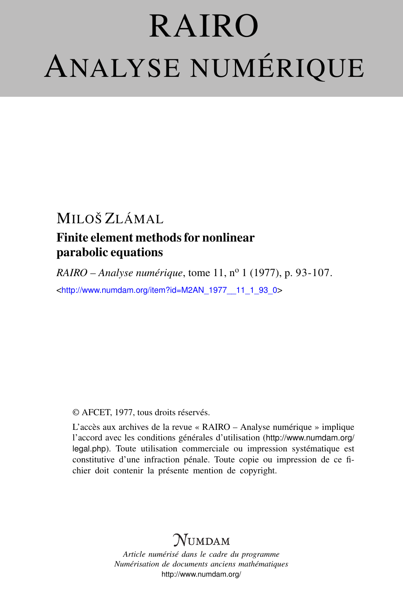# RAIRO ANALYSE NUMÉRIQUE

# MILOŠ ZLÁMAL Finite element methods for nonlinear parabolic equations

*RAIRO – Analyse numérique*, tome 11, nº 1 (1977), p. 93-107. <[http://www.numdam.org/item?id=M2AN\\_1977\\_\\_11\\_1\\_93\\_0](http://www.numdam.org/item?id=M2AN_1977__11_1_93_0)>

## © AFCET, 1977, tous droits réservés.

L'accès aux archives de la revue « RAIRO – Analyse numérique » implique l'accord avec les conditions générales d'utilisation ([http://www.numdam.org/](http://www.numdam.org/legal.php) [legal.php](http://www.numdam.org/legal.php)). Toute utilisation commerciale ou impression systématique est constitutive d'une infraction pénale. Toute copie ou impression de ce fichier doit contenir la présente mention de copyright.

# $\gamma$ umdam

*Article numérisé dans le cadre du programme Numérisation de documents anciens mathématiques* <http://www.numdam.org/>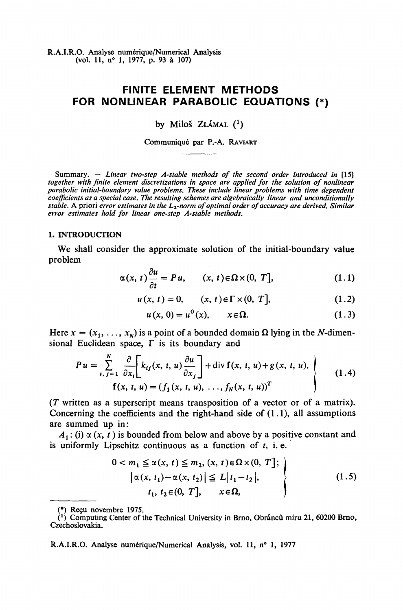**R.AJ.R.O. Analyse numérique/Numerical Analysis (vol. 11, n° 1, 1977, p. 93 à 107)**

## **FINITE ELEMENT METHODS FOR NONLINEAR PARABOLIC EQUATIONS (\*)**

by Miloš ZLÁMAL  $(1)$ 

**Communiqué par P.-A. RAVIART**

Summary.  $-$  Linear two-step A-stable methods of the second order introduced in [15] *together with finite element discretizations in space are applied for the solution of nonlinear parabolic initial-boundary value problems. These include linear problems with time dependent coefficients as a special case. The resulting schemes are algebraically linear and unconditionally stable.* A priori *error estimâtes in the L2-norm of optimal order ofaccuracy are derived. Similar error estimâtes hold for linear one-step A-stable methods.*

#### **1. INTRODUCTION**

We shall consider the approximate solution of the initial-boundary value problem

$$
\alpha(x, t)\frac{\partial u}{\partial t} = Pu, \qquad (x, t) \in \Omega \times (0, T], \tag{1.1}
$$

$$
u(x, t) = 0,
$$
  $(x, t) \in \Gamma \times (0, T],$  (1.2)

$$
u(x, 0) = u0(x), \qquad x \in \Omega.
$$
 (1.3)

Here  $x = (x_1, \ldots, x_N)$  is a point of a bounded domain  $\Omega$  lying in the N-dimensional Euclidean space, *F* is its boundary and

$$
Pu = \sum_{i, j=1}^{N} \frac{\partial}{\partial x_i} \left[ k_{ij}(x, t, u) \frac{\partial u}{\partial x_j} \right] + \text{div } \mathbf{f}(x, t, u) + g(x, t, u),
$$
  

$$
\mathbf{f}(x, t, u) = (f_1(x, t, u), \dots, f_N(x, t, u))^T
$$
(1.4)

*(T* written as a superscript means transposition of a vector or of a matrix). Concerning the coefficients and the right-hand side of  $(1.1)$ , all assumptions are summed up in:

 $A_1$ : (i)  $\alpha(x, t)$  is bounded from below and above by a positive constant and is uniformly Lipschitz continuous as a function of  $t$ , i.e.

$$
0 < m_1 \leq \alpha(x, t) \leq m_2, (x, t) \in \Omega \times (0, T];
$$
\n
$$
\left| \alpha(x, t_1) - \alpha(x, t_2) \right| \leq L \left| t_1 - t_2 \right|,
$$
\n
$$
t_1, t_2 \in (0, T], \quad x \in \Omega,
$$
\n
$$
(1.5)
$$

**<sup>(•)</sup> Reçu novembre 1975.**

*C)* **Computing Center of the Technical University in Brno, Obrâncû miru 21, 60200 Brno, Czechoslovakia.**

**R.A.I.R.O. Analyse numérique/Numerical Analysis, vol. 11, n° 1, 1977**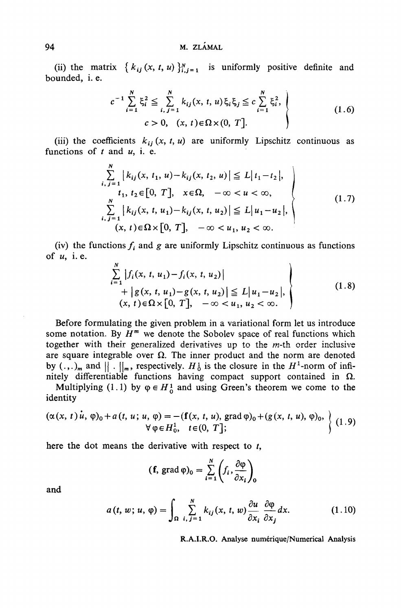### 94 **M. ZLAMAL**

(ii) the matrix  $\{k_{ij}(x, t, u)\}_{i,j=1}^N$  is uniformly positive definite and bounded, i. e.

$$
c^{-1} \sum_{i=1}^{N} \xi_i^2 \leq \sum_{i, j=1}^{N} k_{ij}(x, t, u) \xi_i \xi_j \leq c \sum_{i=1}^{N} \xi_i^2,
$$
  
\n
$$
c > 0, (x, t) \in \Omega \times (0, T].
$$
\n(1.6)

(iii) the coefficients  $k_{ii}$  (x, t, u) are uniformly Lipschitz continuous as functions of  $t$  and  $u$ , i. e.

$$
\sum_{i,j=1}^{N} |k_{ij}(x, t_1, u) - k_{ij}(x, t_2, u)| \le L |t_1 - t_2|, \nt_1, t_2 \in [0, T], \sum_{i,j=1}^{N} |k_{ij}(x, t, u_1) - k_{ij}(x, t, u_2)| \le L |u_1 - u_2|, \n(x, t) \in \Omega \times [0, T], \n-\infty \n $u_1, u_2 < \infty.$ \n(1.7)
$$

(iv) the functions  $f_i$  and  $g$  are uniformly Lipschitz continuous as functions of *u,* i. e.

$$
\begin{aligned}\n&\sum_{i=1}^{N} |f_i(x, t, u_1) - f_i(x, t, u_2)| \\
&+ |g(x, t, u_1) - g(x, t, u_2)| \leq L |u_1 - u_2|, \\
& (x, t) \in \Omega \times [0, T], \quad -\infty < u_1, u_2 < \infty.\n\end{aligned}\n\tag{1.8}
$$

Before formulating the given problem in a variational form let us introduce some notation. By  $H^m$  we denote the Sobolev space of real functions which together with their generalized derivatives up to the m-th order inclusive are square integrable over  $\Omega$ . The inner product and the norm are denoted by  $(.,.)_m$  and  $||.||_m$ , respectively.  $H_0^1$  is the closure in the  $H^1$ -norm of infinitely differentiable functions having compact support contained in  $\Omega$ .

Multiplying (1.1) by  $\varphi \in H^1_0$  and using Green's theorem we come to the identity

$$
(\alpha(x, t)\dot{u}, \phi)_0 + a(t, u; u, \phi) = -(\mathbf{f}(x, t, u), \text{grad}\phi)_0 + (g(x, t, u), \phi)_0, \\ \forall \phi \in H_0^1, \quad t \in (0, T]; \tag{1.9}
$$

here the dot means the derivative with respect to *t,*

$$
(\mathbf{f}, \operatorname{grad} \varphi)_0 = \sum_{i=1}^N \left( f_i, \frac{\partial \varphi}{\partial x_i} \right)_0
$$

and

$$
a(t, w; u, \varphi) = \int_{\Omega} \sum_{i, j=1}^{N} k_{ij}(x, t, w) \frac{\partial u}{\partial x_i} \frac{\partial \varphi}{\partial x_j} dx.
$$
 (1.10)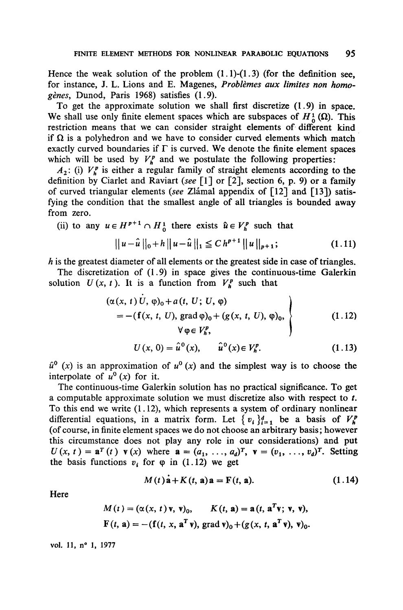Hence the weak solution of the problem  $(1.1)-(1.3)$  (for the definition see, for instance, J. L. Lions and E. Magenes, *Problèmes aux limites non homogènes,* Dunod, Paris 1968) satisfies (1.9).

To get the approximate solution we shall first discretize (1.9) in space. We shall use only finite element spaces which are subspaces of  $H_0^1(\Omega)$ . This restriction means that we can consider straight elements of different kind if  $\Omega$  is a polyhedron and we have to consider curved elements which match exactly curved boundaries if  $\Gamma$  is curved. We denote the finite element spaces which will be used by  $V_k^p$  and we postulate the following properties:

 $A_2$ : (i)  $V_p^p$  is either a regular family of straight elements according to the définition by Ciarlet and Raviart *(see* [1] or [2], section 6, p. 9) or a family of curved triangular éléments *(see* Zlâmal appendix of [12] and [13]) satisfying the condition that the smallest angle of all triangles is bounded away from zero.

(ii) to any  $u \in H^{p+1} \cap H^1$  there exists  $\hat{u} \in V^p$  such that

$$
||u-\hat{u}||_0+h||u-\hat{u}||_1 \leq C h^{p+1}||u||_{p+1}; \qquad (1.11)
$$

*h* is the greatest diameter of all elements or the greatest side in case of triangles.

The discretization of (1.9) in space gives the continuous-time Galerkin solution  $U(x, t)$ . It is a function from  $V_h^p$  such that

$$
(\alpha(x, t) U, \varphi)_0 + a(t, U; U, \varphi)
$$
  
= - (f(x, t, U), grad  $\varphi$ )<sub>0</sub> + (g(x, t, U),  $\varphi$ )<sub>0</sub>,  
 $\forall \varphi \in V_h^p,$  (1.12)

$$
U(x, 0) = \hat{u}^{0}(x), \qquad \hat{u}^{0}(x) \in V_h^p. \tag{1.13}
$$

 $\hat{u}^0$  (x) is an approximation of  $u^0$  (x) and the simplest way is to choose the interpolate of  $u^0(x)$  for it.

The continuous-time Galerkin solution has no practical significance. To get a computable approximate solution we must discretize also with respect to *t.* To this end we write  $(1.12)$ , which represents a system of ordinary nonlinear differential equations, in a matrix form. Let  $\{v_i\}_{i=1}^d$  be a basis of  $V^p_h$ (of course, in finite element spaces we do not choose an arbitrary basis; however this circumstance does not play any role in our considérations) and put  $U(x, t) = \mathbf{a}^T(t) \mathbf{v}(x)$  where  $\mathbf{a} = (a_1, \ldots, a_d)^T$ ,  $\mathbf{v} = (v_1, \ldots, v_d)^T$ . Setting the basis functions  $v_i$  for  $\varphi$  in (1.12) we get

$$
M(t)\dot{\mathbf{a}} + K(t, \mathbf{a})\mathbf{a} = \mathbf{F}(t, \mathbf{a}). \qquad (1.14)
$$

Here

$$
M(t) = (\alpha(x, t) \mathbf{v}, \mathbf{v})_0, \qquad K(t, \mathbf{a}) = \mathbf{a}(t, \mathbf{a}^T \mathbf{v}; \mathbf{v}, \mathbf{v}),
$$
  

$$
F(t, \mathbf{a}) = -(\mathbf{f}(t, x, \mathbf{a}^T \mathbf{v}), \text{grad } \mathbf{v})_0 + (g(x, t, \mathbf{a}^T \mathbf{v}), \mathbf{v})_0.
$$

**voL 11, n° 1, 1977**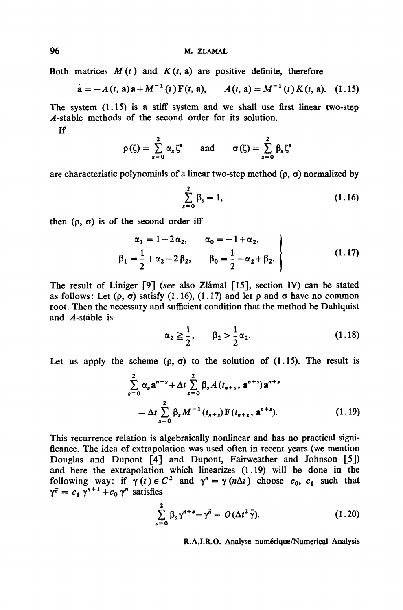Both matrices  $M(t)$  and  $K(t, a)$  are positive definite, therefore

$$
\dot{\mathbf{a}} = -A(t, \mathbf{a})\mathbf{a} + M^{-1}(t)\mathbf{F}(t, \mathbf{a}), \qquad A(t, \mathbf{a}) = M^{-1}(t)K(t, \mathbf{a}). \quad (1.15)
$$

The system  $(1.15)$  is a stiff system and we shall use first linear two-step ^4-stable methods of the second order for its solution.

If

$$
\rho(\zeta) = \sum_{s=0}^{2} \alpha_s \zeta^s \quad \text{and} \quad \sigma(\zeta) = \sum_{s=0}^{2} \beta_s \zeta^s
$$

are characteristic polynomials of a linear two-step method  $(\rho, \sigma)$  normalized by

$$
\sum_{s=0}^{2} \beta_s = 1, \tag{1.16}
$$

then  $(\rho, \sigma)$  is of the second order iff

$$
\alpha_1 = 1 - 2\alpha_2, \qquad \alpha_0 = -1 + \alpha_2,
$$
  
\n $\beta_1 = \frac{1}{2} + \alpha_2 - 2\beta_2, \qquad \beta_0 = \frac{1}{2} - \alpha_2 + \beta_2.$ \n(1.17)

The resuit of Liniger [9] *(see* also Zlâmal [15], section IV) can be stated as follows: Let  $(\rho, \sigma)$  satisfy  $(1.16)$ ,  $(1.17)$  and let  $\rho$  and  $\sigma$  have no common root. Then the necessary and sufficient condition that the method be Dahlquist and  $A$ -stable is

$$
\alpha_2 \geq \frac{1}{2}, \qquad \beta_2 > \frac{1}{2} \alpha_2. \tag{1.18}
$$

Let us apply the scheme  $(\rho, \sigma)$  to the solution of  $(1.15)$ . The result is

$$
\sum_{s=0}^{2} \alpha_{s} \mathbf{a}^{n+s} + \Delta t \sum_{s=0}^{2} \beta_{s} A(t_{n+s}, \mathbf{a}^{n+s}) \mathbf{a}^{n+s}
$$

$$
= \Delta t \sum_{s=0}^{2} \beta_{s} M^{-1}(t_{n+s}) \mathbf{F}(t_{n+s}, \mathbf{a}^{n+s}). \tag{1.19}
$$

This recurrence relation is algebraically nonlinear and has no practical significance. The idea of extrapolation was used often in recent years (we mention Douglas and Dupont [4] and Dupont, Fairweather and Johnson [5]) and hère the extrapolation which linearizes (1.19) will be done in the following way: if  $\gamma(t) \in C^2$  and  $\gamma^n = \gamma(n\Delta t)$  choose  $c_0$ ,  $c_1$  such that  $\gamma^{\overline{n}} = c_1 \gamma^{n+1} + c_0 \gamma^n$  satisfies

$$
\sum_{s=0}^{2} \beta_s \gamma^{n+s} - \gamma^{\overline{n}} = O(\Delta t^2 \ddot{\gamma}). \tag{1.20}
$$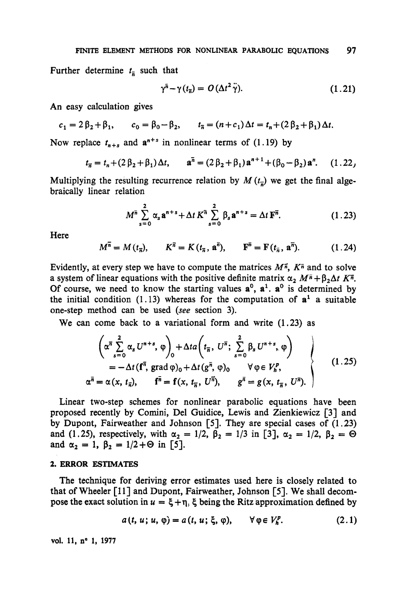Further determine  $t_{\overline{n}}$  such that

$$
\gamma^{\bar{n}} - \gamma(t_{\bar{n}}) = O(\Delta t^2 \ddot{\gamma}). \tag{1.21}
$$

An easy calculation gives

$$
c_1 = 2\beta_2 + \beta_1
$$
,  $c_0 = \beta_0 - \beta_2$ ,  $t_{\overline{n}} = (n + c_1)\Delta t = t_n + (2\beta_2 + \beta_1)\Delta t$ .

Now replace  $t_{n+s}$  and  $a^{n+s}$  in nonlinear terms of (1.19) by

$$
t_{\vec{n}} = t_n + (2\beta_2 + \beta_1)\Delta t
$$
,  $\mathbf{a}^{\vec{n}} = (2\beta_2 + \beta_1)\mathbf{a}^{n+1} + (\beta_0 - \beta_2)\mathbf{a}^n$ . (1.22)

Multiplying the resulting recurrence relation by  $M(t_z)$  we get the final algebraically linear relation

$$
M^{\bar{n}} \sum_{s=0}^{2} \alpha_{s} \mathbf{a}^{n+s} + \Delta t K^{\bar{n}} \sum_{s=0}^{2} \beta_{s} \mathbf{a}^{n+s} = \Delta t \, \mathbf{F}^{\bar{n}}.
$$
 (1.23)

Here

$$
M^{\overline{n}} = M(t_{\overline{n}}), \qquad K^{\overline{n}} = K(t_{\overline{n}}, \mathbf{a}^{\overline{n}}), \qquad \mathbf{F}^{\overline{n}} = \mathbf{F}(t_{\overline{n}}, \mathbf{a}^{\overline{n}}). \tag{1.24}
$$

Evidently, at every step we have to compute the matrices  $M^{\pi}$ ,  $K^{\pi}$  and to solve a system of linear equations with the positive definite matrix  $\alpha_2 M^{\bar{n}} + \beta_2 \Delta t K^{\bar{n}}$ . Of course, we need to know the starting values  $a^0$ ,  $a^1$ .  $a^0$  is determined by the initial condition  $(1.13)$  whereas for the computation of  $a<sup>1</sup>$  a suitable one-step method can be used *(see* section 3).

We can come back to a variational form and write (1.23) as

$$
\left\{\alpha^{\overline{n}}\sum_{s=0}^{2}\alpha_{s}U^{n+s},\varphi\right)_{0}+\Delta ta\left(t_{\overline{n}},U^{\overline{n}};\sum_{s=0}^{2}\beta_{s}U^{n+s},\varphi\right)\\
= -\Delta t\left(\mathbf{f}^{\overline{n}},\operatorname{grad}\varphi\right)_{0}+\Delta t\left(\mathbf{g}^{\overline{n}},\varphi\right)_{0}\qquad\forall\,\varphi\in V_{h}^{p},\\
\alpha^{\overline{n}}=\alpha(x,\,t_{\overline{n}}),\qquad\mathbf{f}^{\overline{n}}=\mathbf{f}(x,\,t_{\overline{n}},\,U^{\overline{n}}),\qquad\mathbf{g}^{\overline{n}}=\mathbf{g}(x,\,t_{\overline{n}},\,U^{\overline{n}}).
$$
\n(1.25)

Linear two-step schemes for nonlinear parabolic équations have been proposed recently by Comini, Del Guidice, Lewis and Zienkiewicz [3] and by Dupont, Fairweather and Johnson [5]. They are special cases of  $(1.23)$ and (1.25), respectively, with  $\alpha_2 = 1/2$ ,  $\beta_2 = 1/3$  in [3],  $\alpha_2 = 1/2$ ,  $\beta_2 = \Theta$ and  $\alpha_2 = 1$ ,  $\beta_2 = 1/2 + \Theta$  in [5].

#### **2. ERROR ESTIMATES**

The technique for deriving error estimâtes used here is closely related to that of Wheeler [11] and Dupont, Fairweather, Johnson [5]. We shall decompose the exact solution in  $u = \xi + \eta$ ,  $\xi$  being the Ritz approximation defined by

$$
a(t, u; u, \varphi) = a(t, u; \xi, \varphi), \qquad \forall \varphi \in V_h^p.
$$
 (2.1)

vol. 11, n° 1, 1977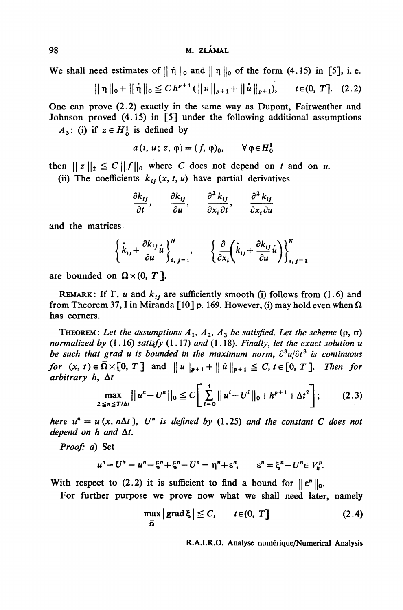We shall need estimates of  $|| \n\eta ||_0$  and  $|| \n\eta ||_0$  of the form (4.15) in [5], i. e.

$$
||\eta||_0 + ||\dot{\eta}||_0 \leq C h^{p+1} (||u||_{p+1} + ||\dot{u}||_{p+1}), \qquad t \in (0, T]. \quad (2.2)
$$

**One can prove (2.2) exactly in the same way as Dupont, Fairweather and Johnson proved (4.15) in [5] under the following additional assumptions**

 $A_3$ : (i) if  $z \in H^1$  is defined by

$$
a(t, u; z, \varphi) = (f, \varphi)_0, \qquad \forall \varphi \in H_0^1
$$

**then**  $||z||_2 \leq C ||f||_0$  where *C* does not depend on *t* and on *u*.

(ii) The coefficients  $k_{ij}(x, t, u)$  have partial derivatives

$$
\frac{\partial k_{ij}}{\partial t}, \quad \frac{\partial k_{ij}}{\partial u}, \quad \frac{\partial^2 k_{ij}}{\partial x_i \partial t}, \quad \frac{\partial^2 k_{ij}}{\partial x_i \partial u}
$$

**and the matrices**

$$
\left\{\dot{k}_{ij}+\frac{\partial k_{ij}}{\partial u}\dot{u}\right\}_{i,\ j=1}^N, \qquad \left\{\frac{\partial}{\partial x_i}\left(\dot{k}_{ij}+\frac{\partial k_{ij}}{\partial u}\dot{u}\right)\right\}_{i,\ j=1}^N
$$

are bounded on  $\Omega \times (0, T)$ 

**REMARK:** If  $\Gamma$ , u and  $k_{ij}$  are sufficiently smooth (i) follows from (1.6) and from Theorem 37, I in Miranda [10] p. 169. However, (i) may hold even when  $\Omega$ **has corners.**

**THEOREM:** Let the assumptions  $A_1$ ,  $A_2$ ,  $A_3$  be satisfied. Let the scheme  $(\rho, \sigma)$ *normalized by* **(1.16)** *satisfy* **(1.17)** *and* **(1.18).** *Finally, let the exact solution u be such that grad u is bounded in the maximum norm, ô<sup>z</sup> u/dt<sup>3</sup> is continuous for*  $(x, t) \in \overline{\Omega} \times [0, T]$  and  $||u||_{p+1} + ||u||_{p+1} \leq C, t \in [0, T]$ . Then for *arbitrary h, At*

$$
\max_{2 \le n \le T/\Delta t} ||u^n - U^n||_0 \le C \left[ \sum_{i=0}^1 ||u^i - U^i||_0 + h^{p+1} + \Delta t^2 \right];
$$
 (2.3)

*here*  $u^n = u(x, n\Delta t)$ ,  $U^n$  is defined by (1.25) and the constant C does not *depend on h and At.*

*Proof: a)* **Set**

$$
u^{n} - U^{n} = u^{n} - \xi^{n} + \xi^{n} - U^{n} = \eta^{n} + \varepsilon^{n}, \qquad \varepsilon^{n} = \xi^{n} - U^{n} \in V_{h}^{p}.
$$

With respect to (2.2) it is sufficient to find a bound for  $||\boldsymbol{\varepsilon}||_{0}$ .

**For further purpose we prove now what we shall need later, namely**

$$
\max_{\overline{\mathbf{a}}} |\operatorname{grad} \xi| \leq C, \qquad t \in (0, T] \tag{2.4}
$$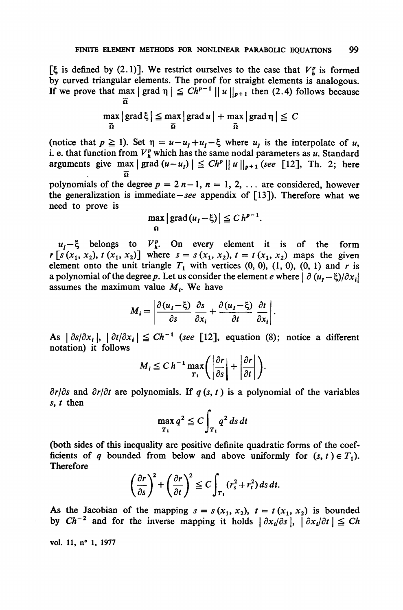[ $\boldsymbol{\xi}$  is defined by (2.1)]. We restrict ourselves to the case that  $V^p$  is formed **by curved triangular éléments. The proof for straight éléments is analogous. If** we prove that max  $| \text{ grad } \eta | \leq Ch^{p-1} || u ||_{p+1}$  then (2.4) follows because **n**

$$
\max_{\overline{\Omega}}\left|\, \text{grad}\, \xi\,\right| \leq \max_{\overline{\Omega}}\left|\, \text{grad}\, u\,\right| + \max_{\overline{\Omega}}\left|\, \text{grad}\, \eta\,\right| \leq \, C
$$

(notice that  $p \ge 1$ ). Set  $\eta = u - u_I + u_I - \xi$  where  $u_I$  is the interpolate of  $u$ , i. e. that function from  $V^p_h$  which has the same nodal parameters as u. Standard **arguments** give max  $|\text{grad}(u-u_i)| \leq Ch^p ||u||_{p+1}$  (see [12], Th. 2; here **o**

polynomials of the degree  $p = 2n-1$ ,  $n = 1, 2, \ldots$  are considered, however **the generalization is immédiate—***see* **appendix of [13]). Therefore what we need to prove is**

$$
\max_{\overline{\Omega}}\left|\operatorname{grad}\left(u_{I}-\xi\right)\right|\leq C\,h^{p-1}.
$$

 $u_i$  –  $\xi$  belongs to  $V_i^p$ . On every element it is of the form  $r [s (x_1, x_2), t (x_1, x_2)]$  where  $s = s (x_1, x_2), t = t (x_1, x_2)$  maps the given **element** onto the unit triangle  $T_1$  with vertices  $(0, 0)$ ,  $(1, 0)$ ,  $(0, 1)$  and r is **a** polynomial of the degree p. Let us consider the element e where  $\left|\frac{\partial (u_1 - \xi)}{\partial x_1}\right|$ **assumes the maximum value** *M<sup>t</sup> .* **We have**

$$
M_i = \left| \frac{\partial (u_I - \xi)}{\partial s} \frac{\partial s}{\partial x_i} + \frac{\partial (u_I - \xi)}{\partial t} \frac{\partial t}{\partial x_i} \right|.
$$

As  $|\partial s/\partial x_i|, |\partial t/\partial x_i| \leq Ch^{-1}$  (see [12], equation (8); notice a different **notation) it follows**

$$
M_i \leq C h^{-1} \max_{T_1} \left( \left| \frac{\partial r}{\partial s} \right| + \left| \frac{\partial r}{\partial t} \right| \right).
$$

 $\partial r/\partial s$  and  $\partial r/\partial t$  are polynomials. If  $q(s, t)$  is a polynomial of the variables *s, t* **then**

$$
\max_{T_1} q^2 \leqq C \int_{T_1} q^2 ds dt
$$

**(both sides of this inequality are positive definite quadratic forms of the coef**ficients of *q* bounded from below and above uniformly for  $(s, t) \in T_1$ . **Therefore**

$$
\left(\frac{\partial r}{\partial s}\right)^2 + \left(\frac{\partial r}{\partial t}\right)^2 \leq C \int_{T_1} (r_s^2 + r_t^2) \, ds \, dt.
$$

As the Jacobian of the mapping  $s = s(x_1, x_2)$ ,  $t = t(x_1, x_2)$  is bounded by  $Ch^{-2}$  and for the inverse mapping it holds  $\left| \frac{\partial x_i}{\partial s} \right|, \left| \frac{\partial x_i}{\partial t} \right| \leq Ch$ 

**vol. 11, n° 1, 1977**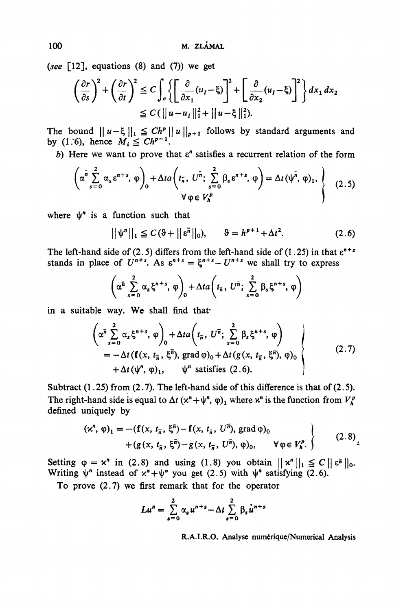*(see* [12], équations (8) and (7)) we get

$$
\left(\frac{\partial r}{\partial s}\right)^2 + \left(\frac{\partial r}{\partial t}\right)^2 \leq C \int_e \left\{ \left[ \frac{\partial}{\partial x_1} (u_I - \xi) \right]^2 + \left[ \frac{\partial}{\partial x_2} (u_I - \xi) \right]^2 \right\} dx_1 dx_2
$$
  
\n
$$
\leq C \left( ||u - u_I||_1^2 + ||u - \xi||_1^2 \right).
$$

The bound  $||u-\xi||_1 \leq Ch^p ||u||_{p+1}$  follows by standard arguments and by (1.6), hence  $M_i \leq Ch^{p-1}$ 

b) Here we want to prove that  $\varepsilon$ <sup>n</sup> satisfies a recurrent relation of the form

$$
\left(\alpha^{\tilde{n}}\sum_{s=0}^{2}\alpha_{s}\epsilon^{n+s},\,\varphi\right)_{0}+\Delta ta\left(t_{\tilde{n}},\,U^{\tilde{n}};\,\sum_{s=0}^{2}\beta_{s}\epsilon^{n+s},\,\varphi\right)=\Delta t\left(\psi^{\tilde{n}},\,\varphi\right)_{1},\,\left\{\n\begin{array}{c}\n(2.5) \\
(2.5)\n\end{array}\n\right\}
$$

where  $\psi$  is a function such that

$$
||\psi^n||_1 \leq C(\vartheta + ||\varepsilon^{\overline{n}}||_0), \qquad \vartheta = h^{p+1} + \Delta t^2. \tag{2.6}
$$

The left-hand side of (2.5) differs from the left-hand side of (1.25) in that  $\varepsilon^{n+s}$ stands in place of  $U^{n+s}$ . As  $\varepsilon^{n+s} = \xi^{n+s} - U^{n+s}$  we shall try to express

$$
\left(\alpha^{\overline{n}}\sum_{s=0}^{2}\alpha_{s}\xi^{n+s},\,\varphi\right)_{0}+\Delta ta\left(t_{\overline{n}},\,U^{\overline{n}};\,\sum_{s=0}^{2}\beta_{s}\xi^{n+s},\,\varphi\right)
$$

in a suitable way. We shall find that

$$
\left(\alpha^{\overline{n}}\sum_{s=0}^{2}\alpha_{s}\xi^{n+s},\varphi\right)_{0} + \Delta t a\left(t_{\overline{n}},U^{\overline{n}};\sum_{s=0}^{2}\beta_{s}\xi^{n+s},\varphi\right) \n= -\Delta t\left(\mathbf{f}(x,t_{\overline{n}},\xi^{\overline{n}}),\operatorname{grad}\varphi\right)_{0} + \Delta t\left(g(x,t_{\overline{n}},\xi^{\overline{n}}),\varphi\right)_{0} \n+ \Delta t\left(\psi^{n},\varphi\right)_{1}, \qquad \psi^{n} \text{ satisfies (2.6)}.
$$
\n(2.7)

Subtract  $(1.25)$  from  $(2.7)$ . The left-hand side of this difference is that of  $(2.5)$ . The right-hand side is equal to  $\Delta t$  ( $x^n + \psi^n$ ,  $\varphi$ )<sub>1</sub> where  $x^n$  is the function from  $V_h^T$ defined uniquely by

$$
(\kappa^n, \varphi)_1 = -(\mathbf{f}(x, t_{\overline{n}}, \xi^{\overline{n}}) - \mathbf{f}(x, t_{\overline{n}}, U^{\overline{n}}), \text{grad } \varphi)_0 + (g(x, t_{\overline{n}}, \xi^{\overline{n}}) - g(x, t_{\overline{n}}, U^{\overline{n}}), \varphi)_0, \qquad \forall \varphi \in V_h^p. \qquad (2.8)
$$

Setting  $\varphi = x^n$  in (2.8) and using (1.8) you obtain  $||x^n||_1 \leq C ||e^{\overline{n}}||_0$ . Writing  $\psi^n$  instead of  $x^n + \psi^n$  you get (2.5) with  $\psi^n$  satisfying (2.6).

To prove (2.7) we first remark that for the operator

$$
Lu^{n} = \sum_{s=0}^{2} \alpha_s u^{n+s} - \Delta t \sum_{s=0}^{2} \beta_s u^{n+s}
$$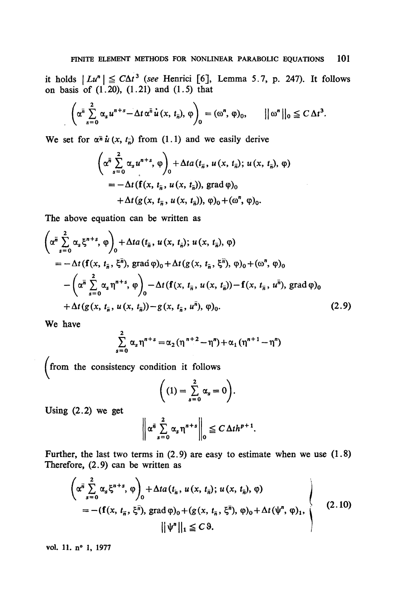it holds  $|Lu^n| \le C\Delta t^3$  (see Henrici [6], Lemma 5.7, p. 247). It follows **on basis of (1.20), (1.21) and (1.5) that**

$$
\left(\alpha^{\overline{n}}\sum_{s=0}^{2}\alpha_{s}u^{n+s}-\Delta t\,\alpha^{\overline{n}}\,\dot{u}\,(x,\,t_{\overline{n}}),\,\varphi\right)_{0}=(\omega^{n},\,\varphi)_{0},\qquad\|\omega^{n}\|_{0}\leq C\,\Delta t^{3}.
$$

We set for  $\alpha^{\bar{n}} u(x, t_{\bar{n}})$  from (1.1) and we easily derive

$$
\left(\alpha^{\overline{n}}\sum_{s=0}^{2}\alpha_{s}u^{n+s},\varphi\right)_{0}+\Delta ta(t_{\overline{n}},u(x,t_{\overline{n}});u(x,t_{\overline{n}}),\varphi)
$$
  
=-\Delta t(f(x, t\_{\overline{n}},u(x,t\_{\overline{n}})), grad \varphi)  
+\Delta t(g(x, t\_{\overline{n}},u(x,t\_{\overline{n}})), \varphi)\_{0}+(\omega^{n}, \varphi)\_{0}.

**The above équation can be written as**

$$
\left(\alpha^{\overline{n}}\sum_{s=0}^{2}\alpha_{s}\xi^{n+s},\varphi\right)_{0} + \Delta t a(t_{\overline{n}},u(x,t_{\overline{n}});u(x,t_{\overline{n}}),\varphi)
$$
  
=  $-\Delta t\left(\mathbf{f}(x,t_{\overline{n}},\xi^{\overline{n}}),\text{grad}\varphi\right)_{0} + \Delta t\left(g(x,t_{\overline{n}},\xi^{\overline{n}}),\varphi\right)_{0} + (\omega^{n},\varphi)_{0}$   
 $-\left(\alpha^{\overline{n}}\sum_{s=0}^{2}\alpha_{s}\eta^{n+s},\varphi\right)_{0} - \Delta t\left(\mathbf{f}(x,t_{\overline{n}},u(x,t_{\overline{n}})) - \mathbf{f}(x,t_{\overline{n}},u^{\overline{n}}),\text{grad}\varphi\right)_{0}$   
 $+\Delta t\left(g(x,t_{\overline{n}},u(x,t_{\overline{n}})) - g(x,t_{\overline{n}},u^{\overline{n}}),\varphi\right)_{0}.$  (2.9)

**We have**

$$
\sum_{s=0}^{2} \alpha_s \eta^{n+s} = \alpha_2 (\eta^{n+2} - \eta^{n}) + \alpha_1 (\eta^{n+1} - \eta^{n})
$$

**(from the consistency condition it follows**

$$
\bigg( (1) = \sum_{s=0}^{2} \alpha_s = 0 \bigg).
$$

**Using (2.2) we get**

$$
\left\|\alpha^{\bar{n}}\sum_{s=0}^2\alpha_s\eta^{n+s}\right\|_0\leq C\Delta t h^{p+1}.
$$

**Further, the last two terms in (2.9) are easy to estimate when we use (1.8) Therefore, (2.9) can be written as**

$$
\left(\alpha^{\bar{n}} \sum_{s=0}^{2} \alpha_{s} \xi^{n+s}, \varphi\right)_{0} + \Delta t a(t_{\bar{n}}, u(x, t_{\bar{n}}); u(x, t_{\bar{n}}), \varphi)
$$
  
= - (f(x, t\_{\bar{n}}, \xi^{\bar{n}}), grad \varphi)\_{0} + (g(x, t\_{\bar{n}}, \xi^{\bar{n}}), \varphi)\_{0} + \Delta t (\psi^{n}, \varphi)\_{1},  
 
$$
||\psi^{n}||_{1} \leq C \vartheta.
$$
 (2.10)

**vol. 11. n° 1, 1977**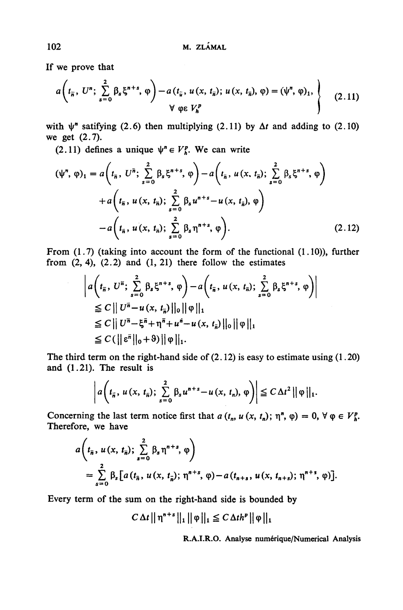If we prove that

$$
a\left(t_{\overline{n}}, U^{n}; \sum_{s=0}^{2} \beta_{s} \xi^{n+s}, \varphi\right) - a(t_{\overline{u}}, u(x, t_{\overline{n}}); u(x, t_{\overline{n}}), \varphi) = (\psi^{n}, \varphi)_{1}, \qquad (2.11)
$$
  
  $\forall \varphi \in V_{n}^{p}$ 

with  $\psi^n$  satifying (2.6) then multiplying (2.11) by  $\Delta t$  and adding to (2.10) we get (2.7).

(2.11) defines a unique  $\psi^n \in V_h^p$ . We can write

$$
(\psi^n, \varphi)_1 = a\left(t_{\bar{n}}, U^{\bar{n}}; \sum_{s=0}^2 \beta_s \xi^{n+s}, \varphi\right) - a\left(t_{\bar{n}}, u(x, t_{\bar{n}}); \sum_{s=0}^2 \beta_s \xi^{n+s}, \varphi\right) + a\left(t_{\bar{n}}, u(x, t_{\bar{n}}); \sum_{s=0}^2 \beta_s u^{n+s} - u(x, t_{\bar{n}}), \varphi\right) - a\left(t_{\bar{n}}, u(x, t_{\bar{n}}); \sum_{s=0}^2 \beta_s \eta^{n+s}, \varphi\right).
$$
 (2.12)

From (1.7) (taking into account the form of the functional (1.10)), further from  $(2, 4)$ ,  $(2.2)$  and  $(1, 21)$  there follow the estimates

$$
\left| a\left(t_{\overline{n}}, U^{\overline{n}}; \sum_{s=0}^{2} \beta_{s} \xi^{n+s}, \varphi \right) - a\left(t_{\overline{n}}, u(x, t_{\overline{n}}); \sum_{s=0}^{2} \beta_{s} \xi^{n+s}, \varphi \right) \right|
$$
  
\n
$$
\leq C \left\| U^{\overline{n}} - u(x, t_{\overline{n}}) \right\|_{0} \|\varphi\|_{1}
$$
  
\n
$$
\leq C \left\| U^{\overline{n}} - \xi^{\overline{n}} + \eta^{\overline{n}} + u^{\overline{n}} - u(x, t_{\overline{n}}) \|\varphi\|_{1}
$$
  
\n
$$
\leq C \left( \left\| \xi^{\overline{n}} \right\|_{0} + \vartheta \right) \|\varphi\|_{1}.
$$

The third term on the right-hand side of  $(2.12)$  is easy to estimate using  $(1.20)$ and (1.21). The result is

$$
\left|a\left(t_{\overline{n}}, u\left(x, t_{\overline{n}}\right)\right)\right| \sum_{s=0}^2 \beta_s u^{n+s} - u\left(x, t_n\right), \varphi\right)\right| \leq C \Delta t^2 \left|\left|\varphi\right|\right|_1.
$$

Concerning the last term notice first that  $a(t_n, u(x, t_n); \eta^n, \varphi) = 0, \forall \varphi \in V_h^p$ . Therefore, we have

$$
a\left(t_{\overline{n}}, u(x, t_{\overline{n}}); \sum_{s=0}^{2} \beta_{s} \eta^{n+s}, \varphi\right)
$$
  
= 
$$
\sum_{s=0}^{2} \beta_{s} \left[a(t_{\overline{n}}, u(x, t_{\overline{n}}); \eta^{n+s}, \varphi) - a(t_{n+s}, u(x, t_{n+s}); \eta^{n+s}, \varphi)\right].
$$

Every term of the sum on the right-hand side is bounded by

$$
C \, \Delta t \, || \, \eta^{n+s} \, ||_1 \, || \, \varphi \, ||_1 \leq C \, \Delta t h^p \, || \, \varphi \, ||_1
$$

**R.A.I.R.O. Analyse numérique/Numerical Analysis**

102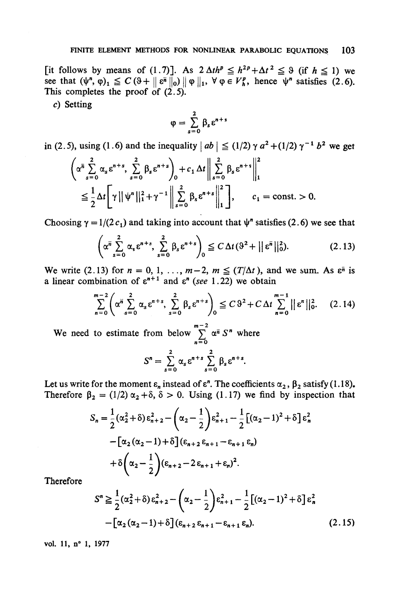[it follows by means of (1.7)]. As  $2 \Delta th^p \leq h^{2p} + \Delta t^2 \leq 9$  (if  $h \leq 1$ ) we see that  $(\psi^n, \varphi)_1 \leq C(9 + ||\varepsilon^{\overline{n}}||_0) ||\varphi||_1$ ,  $\forall \varphi \in V_h^p$ , hence  $\psi^n$  satisfies (2.6). This completes the proof of  $(2.5)$ .

c) Setting

$$
\phi=\sum_{s=0}^2\beta_s\epsilon^{n+s}
$$

in (2.5), using (1.6) and the inequality  $|ab| \le (1/2) \gamma a^2 + (1/2) \gamma^{-1} b^2$  we get

$$
\left(\alpha^{\overline{n}}\sum_{s=0}^{2}\alpha_{s}\epsilon^{n+s},\sum_{s=0}^{2}\beta_{s}\epsilon^{n+s}\right)_{0}+c_{1}\Delta t\left\|\sum_{s=0}^{2}\beta_{s}\epsilon^{n+s}\right\|_{1}^{2}
$$

$$
\leq\frac{1}{2}\Delta t\left[\gamma\left|\left|\psi^{n}\right|\right|_{1}^{2}+\gamma^{-1}\left|\sum_{s=0}^{2}\beta_{s}\epsilon^{n+s}\right|\right|_{1}^{2}\right],\qquad c_{1}=\text{const.}>0.
$$

Choosing  $\gamma = 1/(2c_1)$  and taking into account that  $\psi^n$  satisfies (2.6) we see that

$$
\left(\alpha^{\overline{n}}\sum_{s=0}^{2}\alpha_{s}\epsilon^{n+s},\sum_{s=0}^{2}\beta_{s}\epsilon^{n+s}\right)_{0}\leq C\,\Delta t\,(3^{2}+\left|\left|\epsilon^{\overline{n}}\right|\right|_{0}^{2}).\tag{2.13}
$$

We write (2.13) for  $n = 0, 1, \ldots, m-2, m \leq (T/\Delta t)$ , and we sum. As  $\varepsilon^{\bar{n}}$  is a linear combination of  $\varepsilon^{n+1}$  and  $\varepsilon^n$  (see 1.22) we obtain

$$
\sum_{n=0}^{m-2} \left( \alpha^{n} \sum_{s=0}^{2} \alpha_{s} \epsilon^{n+s}, \sum_{s=0}^{2} \beta_{s} \epsilon^{n+s} \right)_{0} \leq C \, \vartheta^{2} + C \, \Delta t \sum_{n=0}^{m-1} || \epsilon^{n} ||_{0}^{2}.
$$
 (2.14)

We need to estimate from below  $\sum_{n=1}^{\infty} \alpha^n S^n$  where

$$
S^{n} = \sum_{s=0}^{2} \alpha_{s} \varepsilon^{n+s} \sum_{s=0}^{2} \beta_{s} \varepsilon^{n+s}.
$$

Let us write for the moment  $\varepsilon_n$  instead of  $\varepsilon^n$ . The coefficients  $\alpha_2$ ,  $\beta_2$  satisfy (1.18). Therefore  $\beta_2 = (1/2) \alpha_2 + \delta$ ,  $\delta > 0$ . Using (1.17) we find by inspection that

$$
S_n = \frac{1}{2} (\alpha_2^2 + \delta) \epsilon_{n+2}^2 - (\alpha_2 - \frac{1}{2}) \epsilon_{n+1}^2 - \frac{1}{2} [(\alpha_2 - 1)^2 + \delta] \epsilon_n^2
$$
  
 
$$
- [\alpha_2 (\alpha_2 - 1) + \delta] (\epsilon_{n+2} \epsilon_{n+1} - \epsilon_{n+1} \epsilon_n)
$$
  
 
$$
+ \delta (\alpha_2 - \frac{1}{2}) (\epsilon_{n+2} - 2 \epsilon_{n+1} + \epsilon_n)^2.
$$

Therefore

$$
S^{n} \geq \frac{1}{2} (\alpha_{2}^{2} + \delta) \epsilon_{n+2}^{2} - (\alpha_{2} - \frac{1}{2}) \epsilon_{n+1}^{2} - \frac{1}{2} [(\alpha_{2} - 1)^{2} + \delta] \epsilon_{n}^{2}
$$

$$
- [\alpha_{2} (\alpha_{2} - 1) + \delta] (\epsilon_{n+2} \epsilon_{n+1} - \epsilon_{n+1} \epsilon_{n}). \tag{2.15}
$$

**vol. 11,** *a'* **1, 1977**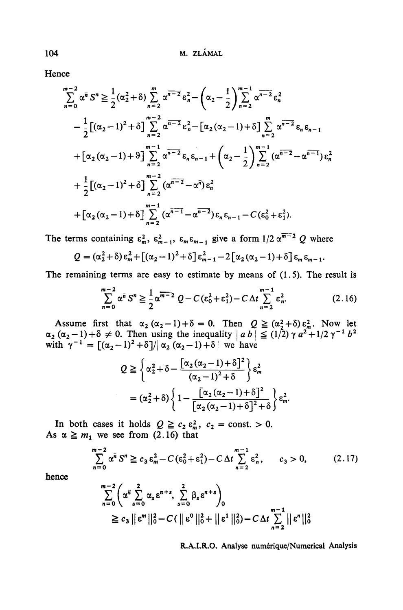**Hence**

$$
\sum_{n=0}^{m-2} \alpha^{\overline{n}} S^{n} \geq \frac{1}{2} (\alpha_{2}^{2} + \delta) \sum_{n=2}^{m} \alpha^{\overline{n-2}} \varepsilon_{n}^{2} - (\alpha_{2} - \frac{1}{2}) \sum_{n=2}^{m-1} \alpha^{\overline{n-2}} \varepsilon_{n}^{2}
$$
  
\n
$$
- \frac{1}{2} [(\alpha_{2} - 1)^{2} + \delta] \sum_{n=2}^{m-2} \alpha^{\overline{n-2}} \varepsilon_{n}^{2} - [\alpha_{2} (\alpha_{2} - 1) + \delta] \sum_{n=2}^{m} \alpha^{\overline{n-2}} \varepsilon_{n} \varepsilon_{n-1}
$$
  
\n
$$
+ [\alpha_{2} (\alpha_{2} - 1) + \delta] \sum_{n=2}^{m-1} \alpha^{\overline{n-2}} \varepsilon_{n} \varepsilon_{n-1} + (\alpha_{2} - \frac{1}{2}) \sum_{n=2}^{m-1} (\alpha^{\overline{n-2}} - \alpha^{\overline{n-1}}) \varepsilon_{n}^{2}
$$
  
\n
$$
+ \frac{1}{2} [(\alpha_{2} - 1)^{2} + \delta] \sum_{n=2}^{m-2} (\alpha^{\overline{n-2}} - \alpha^{\overline{n}}) \varepsilon_{n}^{2}
$$
  
\n
$$
+ [\alpha_{2} (\alpha_{2} - 1) + \delta] \sum_{n=2}^{m-1} (\alpha^{\overline{n-1}} - \alpha^{\overline{n-2}}) \varepsilon_{n} \varepsilon_{n-1} - C (\varepsilon_{0}^{2} + \varepsilon_{1}^{2}).
$$

The terms containing  $\varepsilon_m^2$ ,  $\varepsilon_{m-1}^2$ ,  $\varepsilon_m \varepsilon_{m-1}$  give a form  $1/2 \alpha^{m-2} Q$  where

$$
Q = (\alpha_2^2 + \delta) \epsilon_m^2 + [(\alpha_2 - 1)^2 + \delta] \epsilon_{m-1}^2 - 2 [\alpha_2 (\alpha_2 - 1) + \delta] \epsilon_m \epsilon_{m-1}.
$$

**The remaining terms are easy to estimate by means of (1.5). The resuit is**

$$
\sum_{n=0}^{m-2} \alpha^n S^n \ge \frac{1}{2} \alpha^{\overline{m-2}} Q - C (\varepsilon_0^2 + \varepsilon_1^2) - C \Delta t \sum_{n=2}^{m-1} \varepsilon_n^2.
$$
 (2.16)

Assume first that  $\alpha_2(\alpha_2-1)+\delta = 0$ . Then  $Q \geq (\alpha_2^2+\delta)\epsilon_m^2$ . Now let  $\alpha_2 (\alpha_2 - 1) + \delta \neq 0$ . Then using the inequality  $|ab| \leq (1/2) \gamma a^2 + 1/2 \gamma^{-1} b^2$  $\text{with } \gamma^{-1} = [(\alpha_2 - 1)^2 + \delta]/|\alpha_2(\alpha_2 - 1) + \delta| \text{ we have}$ 

$$
Q \geq \left\{ \alpha_2^2 + \delta - \frac{\left[ \alpha_2 (\alpha_2 - 1) + \delta \right]^2}{(\alpha_2 - 1)^2 + \delta} \right\} \varepsilon_m^2
$$
  
= 
$$
(\alpha_2^2 + \delta) \left\{ 1 - \frac{\left[ \alpha_2 (\alpha_2 - 1) + \delta \right]^2}{\left[ \alpha_2 (\alpha_2 - 1) + \delta \right]^2 + \delta} \right\} \varepsilon_m^2.
$$

In both cases it holds  $Q \ge c_2 \varepsilon_m^2$ ,  $c_2 = \text{const.} > 0$ . As  $\alpha \geq m_1$  we see from (2.16) that

$$
\sum_{n=0}^{m-2} \alpha^{n} S^{n} \ge c_{3} \epsilon_{m}^{2} - C(\epsilon_{0}^{2} + \epsilon_{1}^{2}) - C \Delta t \sum_{n=2}^{m-1} \epsilon_{n}^{2}, \qquad c_{3} > 0, \tag{2.17}
$$

**hence**

$$
\sum_{n=0}^{m-2} \left( \alpha^{n} \sum_{s=0}^{2} \alpha_{s} \epsilon^{n+s}, \sum_{s=0}^{2} \beta_{s} \epsilon^{n+s} \right)_{0}
$$
\n
$$
\geq c_{3} || \epsilon^{m} ||_{0}^{2} - C (|| \epsilon^{0} ||_{0}^{2} + || \epsilon^{1} ||_{0}^{2}) - C \Delta t \sum_{n=2}^{m-1} || \epsilon^{n} ||_{0}^{2}
$$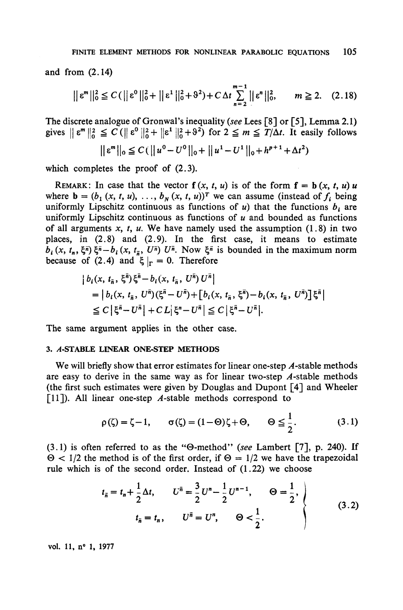and from (2.14)

$$
||\varepsilon^{m}||_{0}^{2} \leq C(||\varepsilon^{0}||_{0}^{2} + ||\varepsilon^{1}||_{0}^{2} + \vartheta^{2}) + C \Delta t \sum_{n=2}^{m-1} ||\varepsilon^{n}||_{0}^{2}, \qquad m \geq 2. \quad (2.18)
$$

The discrete analogue of Gronwal's inequality *(see* Lees [8] or [5], Lemma 2.1) gives  $||\varepsilon^m||_0^2 \leq C(||\varepsilon^0||_0^2 + ||\varepsilon^1||_0^2 + 9^2)$  for  $2 \leq m \leq T/\Delta t$ . It easily follows

$$
||\varepsilon^{m}||_{0} \leq C(||u^{0} - U^{0}||_{0} + ||u^{1} - U^{1}||_{0} + h^{p+1} + \Delta t^{2})
$$

which completes the proof of  $(2.3)$ .

REMARK: In case that the vector  $f(x, t, u)$  is of the form  $f = b(x, t, u)$ u where  $\mathbf{b} = (b_1(x, t, u), \ldots, b_N(x, t, u))^T$  we can assume (instead of  $f_i$  being uniformly Lipschitz continuous as functions of  $u$ ) that the functions  $b_i$  are uniformly Lipschitz continuous as functions of *u* and bounded as functions of all arguments  $x$ ,  $t$ ,  $u$ . We have namely used the assumption (1.8) in two places, in (2.8) and (2.9). In the first case, it means to estimate  $b_i(x, t_n, \xi^{\overline{n}}) \xi^{\overline{n}} - b_i(x, t_{\overline{n}}, U^{\overline{n}}) U^{\overline{n}}$ . Now  $\xi^{\overline{n}}$  is bounded in the maximum norm because of (2.4) and  $\zeta|_{\Gamma} = 0$ . Therefore

$$
\begin{aligned} \left| \ b_i(x, \, t_{\bar{n}}, \, \xi^{\bar{n}}) \xi^{\bar{n}} - b_i(x, \, t_{\bar{n}}, \, U^{\bar{n}}) \, U^{\bar{n}} \right| \\ &= \left| \ b_i(x, \, t_{\bar{n}}, \, U^{\bar{n}}) (\xi^{\bar{n}} - U^{\bar{n}}) + \left[ \ b_i(x, \, t_{\bar{n}}, \, \xi^{\bar{n}}) - b_i(x, \, t_{\bar{n}}, \, U^{\bar{n}}) \right] \xi^{\bar{n}} \right| \\ &\leq C \left| \xi^{\bar{n}} - U^{\bar{n}} \right| + C \, L \left| \xi^n - U^{\bar{n}} \right| \leq C \left| \xi^{\bar{n}} - U^{\bar{n}} \right|. \end{aligned}
$$

The same argument applies in the other case.

#### **3. A-STABLE LINEAR ONE-STEP METHODS**

We will briefly show that error estimates for linear one-step  $\vec{A}$ -stable methods are easy to dérive in the same way as for linear two-step *A* -stable methods (the first such estimâtes were given by Douglas and Dupont [4] and Wheeler [11]). All linear one-step  $A$ -stable methods correspond to

$$
\rho(\zeta) = \zeta - 1, \qquad \sigma(\zeta) = (1 - \Theta)\zeta + \Theta, \qquad \Theta \leq \frac{1}{2}.
$$
 (3.1)

(3.1) is often referred to as the "0-method" *(see* Lambert [7], p. 240). If  $\Theta$  < 1/2 the method is of the first order, if  $\Theta = 1/2$  we have the trapezoidal rule which is of the second order. Instead of (1.22) we choose

$$
t_{\bar{n}} = t_n + \frac{1}{2}\Delta t, \qquad U^{\bar{n}} = \frac{3}{2}U^n - \frac{1}{2}U^{n-1}, \qquad \Theta = \frac{1}{2},
$$
  

$$
t_{\bar{n}} = t_n, \qquad U^{\bar{n}} = U^n, \qquad \Theta < \frac{1}{2}.
$$
 (3.2)

**vol 11, n° 1, 1977**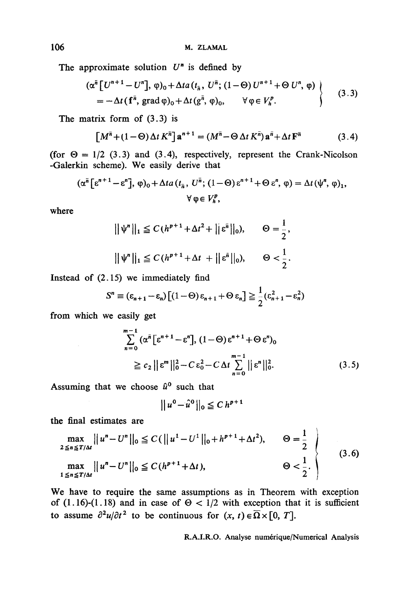The approximate solution  $U<sup>n</sup>$  is defined by

$$
(\alpha^{\overline{n}}\left[U^{n+1}-U^{n}\right], \varphi)_{0} + \Delta t a(t_{\overline{n}}, U^{\overline{n}}; (1-\Theta)U^{n+1} + \Theta U^{n}, \varphi) \n= -\Delta t \left(\mathbf{f}^{\overline{n}}, \operatorname{grad} \varphi)_{0} + \Delta t \left(g^{\overline{n}}, \varphi\right)_{0}, \qquad \forall \varphi \in V_{h}^{p}.\n\tag{3.3}
$$

The matrix form of (3.3) is

$$
\left[M^{\bar{n}} + (1 - \Theta) \Delta t K^{\bar{n}}\right] \mathbf{a}^{n+1} = (M^{\bar{n}} - \Theta \Delta t K^{\bar{n}}) \mathbf{a}^{\bar{n}} + \Delta t \mathbf{F}^{\bar{n}} \tag{3.4}
$$

(for  $\Theta = 1/2$  (3.3) and (3.4), respectively, represent the Crank-Nicolson -Galerkin scheme). We easily dérive that

$$
(\alpha^{\overline{n}} \left[ \varepsilon^{n+1} - \varepsilon^{n} \right], \varphi)_{0} + \Delta t a \left( t_{\overline{n}}, U^{\overline{n}}; (1 - \Theta) \varepsilon^{n+1} + \Theta \varepsilon^{n}, \varphi \right) = \Delta t \left( \psi^{n}, \varphi \right)_{1},
$$

$$
\forall \varphi \in V_{h}^{p},
$$

where

$$
\|\psi^n\|_1 \leq C(h^{p+1} + \Delta t^2 + \|\varepsilon^{\bar{n}}\|_0), \qquad \Theta = \frac{1}{2},
$$
  

$$
\|\psi^n\|_1 \leq C(h^{p+1} + \Delta t + \|\varepsilon^{\bar{n}}\|_0), \qquad \Theta < \frac{1}{2}.
$$

Instead of (2.15) we immediately find

$$
S^{n} \equiv (\varepsilon_{n+1} - \varepsilon_{n}) \left[ (1 - \Theta) \varepsilon_{n+1} + \Theta \varepsilon_{n} \right] \geq \frac{1}{2} (\varepsilon_{n+1}^{2} - \varepsilon_{n}^{2})
$$

from which we easily get

$$
\sum_{n=0}^{m-1} (\alpha^{\bar{n}} \left[ \varepsilon^{n+1} - \varepsilon^{n} \right], (1 - \Theta) \varepsilon^{n+1} + \Theta \varepsilon^{n})_{0}
$$
  

$$
\geq c_{2} || \varepsilon^{m} ||_{0}^{2} - C \varepsilon_{0}^{2} - C \Delta t \sum_{n=0}^{m-1} || \varepsilon^{n} ||_{0}^{2}. \tag{3.5}
$$

Assuming that we choose *û°* such that

$$
\|u^0-\hat{u}^0\|_0\leq C\,h^{p+1}
$$

**the final estimâtes are**

$$
\max_{2 \le n \le T/\Delta t} ||u^n - U^n||_0 \le C(||u^1 - U^1||_0 + h^{p+1} + \Delta t^2), \qquad \Theta = \frac{1}{2}
$$
\n
$$
\max_{1 \le n \le T/\Delta t} ||u^n - U^n||_0 \le C(h^{p+1} + \Delta t), \qquad \Theta < \frac{1}{2}.
$$
\n(3.6)

We have to require the same assumptions as in Theorem with exception of (1.16)-(1.18) and in case of  $\Theta < 1/2$  with exception that it is sufficient to assume  $\partial^2 u/\partial t^2$  to be continuous for  $(x, t) \in \overline{\Omega} \times [0, T]$ .